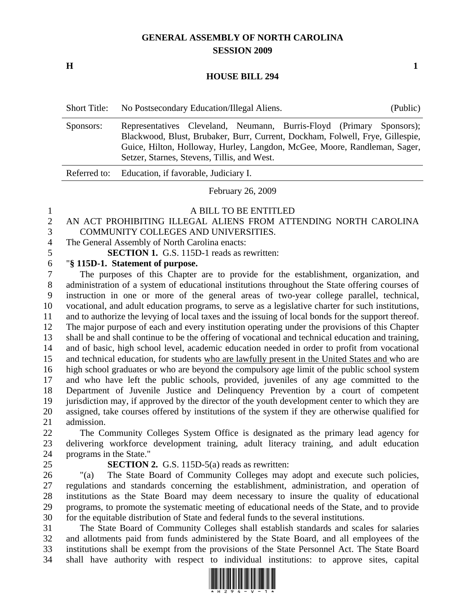# **GENERAL ASSEMBLY OF NORTH CAROLINA SESSION 2009**

**H** 1

#### **HOUSE BILL 294**

| <b>Short Title:</b> | No Postsecondary Education/Illegal Aliens.<br>(Public)                                                                                                                                                                                                                            |
|---------------------|-----------------------------------------------------------------------------------------------------------------------------------------------------------------------------------------------------------------------------------------------------------------------------------|
| Sponsors:           | Representatives Cleveland, Neumann, Burris-Floyd (Primary Sponsors);<br>Blackwood, Blust, Brubaker, Burr, Current, Dockham, Folwell, Frye, Gillespie,<br>Guice, Hilton, Holloway, Hurley, Langdon, McGee, Moore, Randleman, Sager,<br>Setzer, Starnes, Stevens, Tillis, and West. |
|                     | Referred to: Education, if favorable, Judiciary I.                                                                                                                                                                                                                                |
|                     |                                                                                                                                                                                                                                                                                   |

February 26, 2009

#### 1 A BILL TO BE ENTITLED

## 2 AN ACT PROHIBITING ILLEGAL ALIENS FROM ATTENDING NORTH CAROLINA 3 COMMUNITY COLLEGES AND UNIVERSITIES.

4 The General Assembly of North Carolina enacts:

5 **SECTION 1.** G.S. 115D-1 reads as rewritten:

## 6 "**§ 115D-1. Statement of purpose.**

7 The purposes of this Chapter are to provide for the establishment, organization, and 8 administration of a system of educational institutions throughout the State offering courses of 9 instruction in one or more of the general areas of two-year college parallel, technical, 10 vocational, and adult education programs, to serve as a legislative charter for such institutions, 11 and to authorize the levying of local taxes and the issuing of local bonds for the support thereof. 12 The major purpose of each and every institution operating under the provisions of this Chapter 13 shall be and shall continue to be the offering of vocational and technical education and training, 14 and of basic, high school level, academic education needed in order to profit from vocational 15 and technical education, for students who are lawfully present in the United States and who are 16 high school graduates or who are beyond the compulsory age limit of the public school system 17 and who have left the public schools, provided, juveniles of any age committed to the 18 Department of Juvenile Justice and Delinquency Prevention by a court of competent 19 jurisdiction may, if approved by the director of the youth development center to which they are 20 assigned, take courses offered by institutions of the system if they are otherwise qualified for 21 admission.

22 The Community Colleges System Office is designated as the primary lead agency for 23 delivering workforce development training, adult literacy training, and adult education 24 programs in the State."

## 25 **SECTION 2.** G.S. 115D-5(a) reads as rewritten:

26 "(a) The State Board of Community Colleges may adopt and execute such policies, 27 regulations and standards concerning the establishment, administration, and operation of 28 institutions as the State Board may deem necessary to insure the quality of educational 29 programs, to promote the systematic meeting of educational needs of the State, and to provide 30 for the equitable distribution of State and federal funds to the several institutions.

31 The State Board of Community Colleges shall establish standards and scales for salaries 32 and allotments paid from funds administered by the State Board, and all employees of the 33 institutions shall be exempt from the provisions of the State Personnel Act. The State Board 34 shall have authority with respect to individual institutions: to approve sites, capital